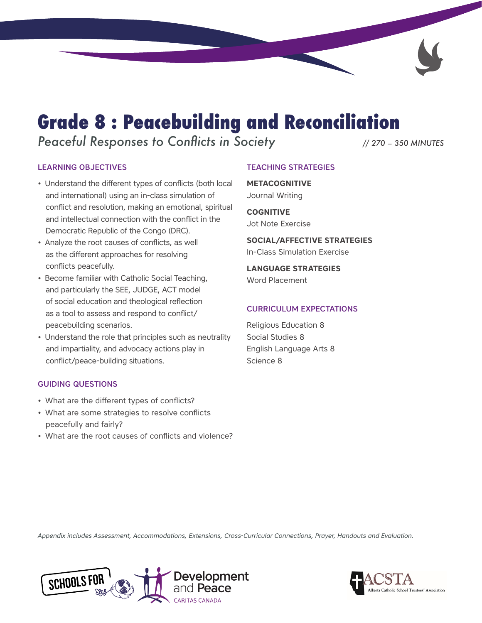# **Grade 8 : Peacebuilding and Reconciliation**

*Peaceful Responses to Conflicts in Society // 270 – 350 MINUTES*

### LEARNING OBJECTIVES

- Understand the different types of conflicts (both local and international) using an in-class simulation of conflict and resolution, making an emotional, spiritual and intellectual connection with the conflict in the Democratic Republic of the Congo (DRC).
- Analyze the root causes of conflicts, as well as the different approaches for resolving conflicts peacefully.
- Become familiar with Catholic Social Teaching, and particularly the SEE, JUDGE, ACT model of social education and theological reflection as a tool to assess and respond to conflict/ peacebuilding scenarios.
- Understand the role that principles such as neutrality and impartiality, and advocacy actions play in conflict/peace-building situations.

### GUIDING QUESTIONS

- What are the different types of conflicts?
- What are some strategies to resolve conflicts peacefully and fairly?
- What are the root causes of conflicts and violence?

### TEACHING STRATEGIES

**METACOGNITIVE** Journal Writing

**COGNITIVE** Jot Note Exercise

**SOCIAL/AFFECTIVE STRATEGIES** In-Class Simulation Exercise

**LANGUAGE STRATEGIES** Word Placement

### CURRICULUM EXPECTATIONS

Religious Education 8 Social Studies 8 English Language Arts 8 Science 8

*Appendix includes Assessment, Accommodations, Extensions, Cross-Curricular Connections, Prayer, Handouts and Evaluation.*



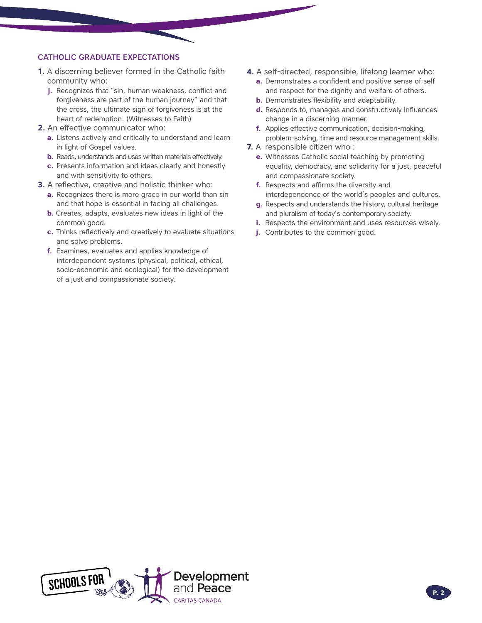### CATHOLIC GRADUATE EXPECTATIONS

- **1.** A discerning believer formed in the Catholic faith community who:
	- **j.** Recognizes that "sin, human weakness, conflict and forgiveness are part of the human journey" and that the cross, the ultimate sign of forgiveness is at the heart of redemption. (Witnesses to Faith)
- **2.** An effective communicator who:
	- **a.** Listens actively and critically to understand and learn in light of Gospel values.
	- **b.** Reads, understands and uses written materials effectively.
	- **c.** Presents information and ideas clearly and honestly and with sensitivity to others.
- **3.** A reflective, creative and holistic thinker who:
	- **a.** Recognizes there is more grace in our world than sin and that hope is essential in facing all challenges.
	- **b.** Creates, adapts, evaluates new ideas in light of the common good.
	- **c.** Thinks reflectively and creatively to evaluate situations and solve problems.
	- **f.** Examines, evaluates and applies knowledge of interdependent systems (physical, political, ethical, socio-economic and ecological) for the development of a just and compassionate society.
- **4.** A self-directed, responsible, lifelong learner who:
	- **a.** Demonstrates a confident and positive sense of self and respect for the dignity and welfare of others.
	- **b.** Demonstrates flexibility and adaptability.
	- **d.** Responds to, manages and constructively influences change in a discerning manner.
	- **f.** Applies effective communication, decision-making, problem-solving, time and resource management skills.
- **7.** A responsible citizen who :
	- **e.** Witnesses Catholic social teaching by promoting equality, democracy, and solidarity for a just, peaceful and compassionate society.
	- **f.** Respects and affirms the diversity and interdependence of the world's peoples and cultures.
	- **g.** Respects and understands the history, cultural heritage and pluralism of today's contemporary society.
	- **i.** Respects the environment and uses resources wisely.
	- **j.** Contributes to the common good.

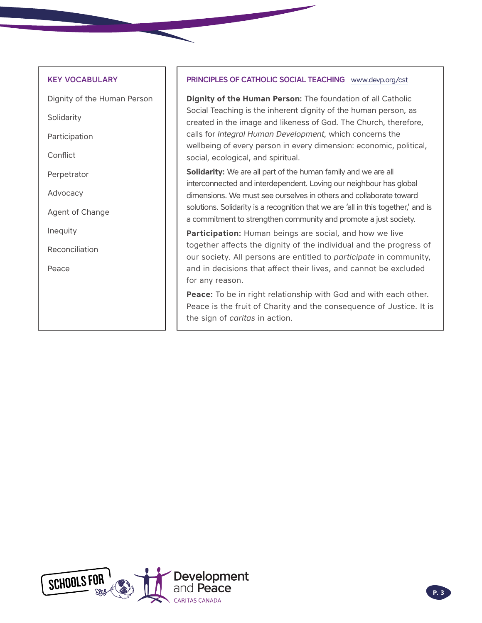### KEY VOCABULARY

Dignity of the Human Person

Solidarity

Participation

Conflict

Perpetrator

Advocacy

Agent of Change

Inequity

Reconciliation

Peace

### PRINCIPLES OF CATHOLIC SOCIAL TEACHING [www.devp.org/cst](http://www.devp.org/cst)

**Dignity of the Human Person:** The foundation of all Catholic Social Teaching is the inherent dignity of the human person, as created in the image and likeness of God. The Church, therefore, calls for *Integral Human Development*, which concerns the wellbeing of every person in every dimension: economic, political, social, ecological, and spiritual.

**Solidarity:** We are all part of the human family and we are all interconnected and interdependent. Loving our neighbour has global dimensions. We must see ourselves in others and collaborate toward solutions. Solidarity is a recognition that we are 'all in this together,' and is a commitment to strengthen community and promote a just society.

**Participation:** Human beings are social, and how we live together affects the dignity of the individual and the progress of our society. All persons are entitled to *participate* in community, and in decisions that affect their lives, and cannot be excluded for any reason.

**Peace:** To be in right relationship with God and with each other. Peace is the fruit of Charity and the consequence of Justice. It is the sign of *caritas* in action.

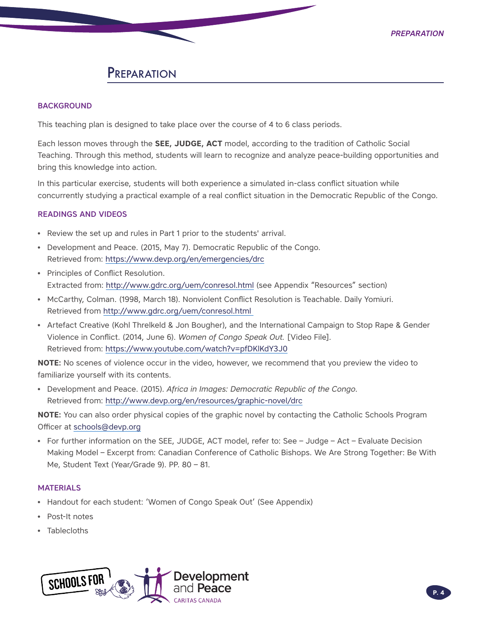## **PREPARATION**

### **BACKGROUND**

This teaching plan is designed to take place over the course of 4 to 6 class periods.

Each lesson moves through the **SEE, JUDGE, ACT** model, according to the tradition of Catholic Social Teaching. Through this method, students will learn to recognize and analyze peace-building opportunities and bring this knowledge into action.

In this particular exercise, students will both experience a simulated in-class conflict situation while concurrently studying a practical example of a real conflict situation in the Democratic Republic of the Congo.

### READINGS AND VIDEOS

- Review the set up and rules in Part 1 prior to the students' arrival.
- Development and Peace. (2015, May 7). Democratic Republic of the Congo. Retrieved from:<https://www.devp.org/en/emergencies/drc>
- Principles of Conflict Resolution. Extracted from: <http://www.gdrc.org/uem/conresol.html>(see Appendix "Resources" section)
- McCarthy, Colman. (1998, March 18). Nonviolent Conflict Resolution is Teachable. Daily Yomiuri. Retrieved from<http://www.gdrc.org/uem/conresol.html>
- Artefact Creative (Kohl Threlkeld & Jon Bougher), and the International Campaign to Stop Rape & Gender Violence in Conflict. (2014, June 6). *Women of Congo Speak Out.* [Video File]. Retrieved from:<https://www.youtube.com/watch?v=pfDKlKdY3J0>

**NOTE:** No scenes of violence occur in the video, however, we recommend that you preview the video to familiarize yourself with its contents.

• Development and Peace. (2015). *Africa in Images: Democratic Republic of the Congo*. Retrieved from:<http://www.devp.org/en/resources/graphic-novel/drc>

**NOTE:** You can also order physical copies of the graphic novel by contacting the Catholic Schools Program Officer at [schools@devp.org](mailto:schools@devp.org)

• For further information on the SEE, JUDGE, ACT model, refer to: See – Judge – Act – Evaluate Decision Making Model – Excerpt from: Canadian Conference of Catholic Bishops. We Are Strong Together: Be With Me, Student Text (Year/Grade 9). PP. 80 – 81.

### **MATERIALS**

- Handout for each student: 'Women of Congo Speak Out' (See Appendix)
- Post-It notes
- Tablecloths

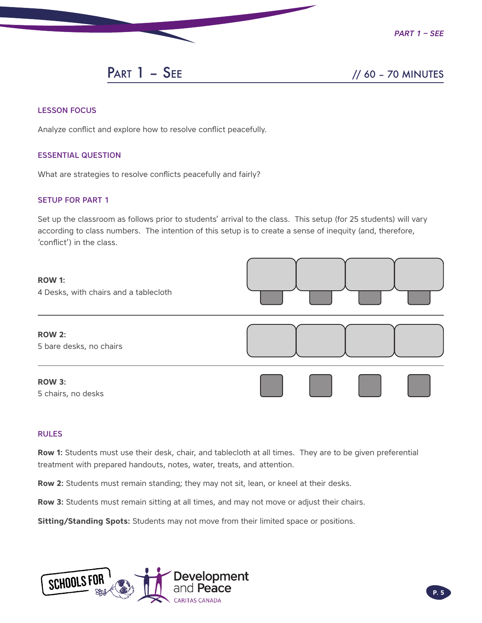

## PART 1 – SEE // 60 – 70 MINUTES

### LESSON FOCUS

Analyze conflict and explore how to resolve conflict peacefully.

### ESSENTIAL QUESTION

What are strategies to resolve conflicts peacefully and fairly?

### SETUP FOR PART 1

Set up the classroom as follows prior to students' arrival to the class. This setup (for 25 students) will vary according to class numbers. The intention of this setup is to create a sense of inequity (and, therefore, 'conflict') in the class.



### RULES

**Row 1:** Students must use their desk, chair, and tablecloth at all times. They are to be given preferential treatment with prepared handouts, notes, water, treats, and attention.

**Row 2:** Students must remain standing; they may not sit, lean, or kneel at their desks.

**Row 3:** Students must remain sitting at all times, and may not move or adjust their chairs.

**Sitting/Standing Spots:** Students may not move from their limited space or positions.

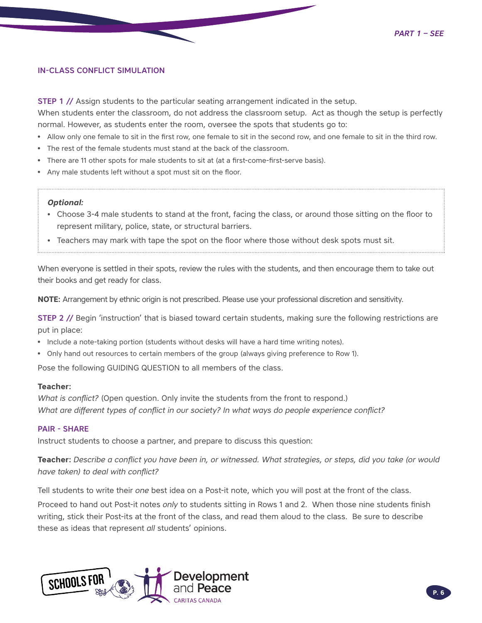### IN-CLASS CONFLICT SIMULATION

**STEP 1** // Assign students to the particular seating arrangement indicated in the setup.

When students enter the classroom, do not address the classroom setup. Act as though the setup is perfectly normal. However, as students enter the room, oversee the spots that students go to:

- Allow only one female to sit in the first row, one female to sit in the second row, and one female to sit in the third row.
- The rest of the female students must stand at the back of the classroom.
- There are 11 other spots for male students to sit at (at a first-come-first-serve basis).
- Any male students left without a spot must sit on the floor.

### *Optional:*

- Choose 3-4 male students to stand at the front, facing the class, or around those sitting on the floor to represent military, police, state, or structural barriers.
- Teachers may mark with tape the spot on the floor where those without desk spots must sit.

When everyone is settled in their spots, review the rules with the students, and then encourage them to take out their books and get ready for class.

**NOTE:** Arrangement by ethnic origin is not prescribed. Please use your professional discretion and sensitivity.

STEP 2 // Begin 'instruction' that is biased toward certain students, making sure the following restrictions are put in place:

- Include a note-taking portion (students without desks will have a hard time writing notes).
- Only hand out resources to certain members of the group (always giving preference to Row 1).

Pose the following GUIDING QUESTION to all members of the class.

### **Teacher:**

*What is conflict?* (Open question. Only invite the students from the front to respond.) *What are different types of conflict in our society? In what ways do people experience conflict?*

### PAIR - SHARE

Instruct students to choose a partner, and prepare to discuss this question:

**Teacher:** *Describe a conflict you have been in, or witnessed. What strategies, or steps, did you take (or would have taken) to deal with conflict?*

Tell students to write their *one* best idea on a Post-it note, which you will post at the front of the class.

Proceed to hand out Post-it notes *only* to students sitting in Rows 1 and 2. When those nine students finish writing, stick their Post-its at the front of the class, and read them aloud to the class. Be sure to describe these as ideas that represent *all* students' opinions.

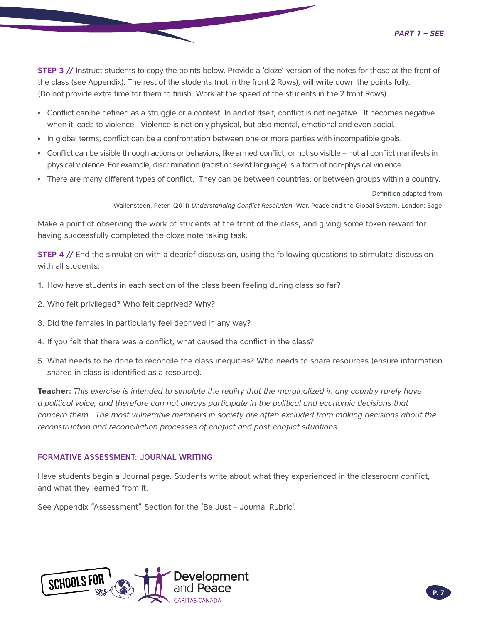STEP 3 // Instruct students to copy the points below. Provide a 'cloze' version of the notes for those at the front of the class (see Appendix). The rest of the students (not in the front 2 Rows), will write down the points fully. (Do not provide extra time for them to finish. Work at the speed of the students in the 2 front Rows).

- Conflict can be defined as a struggle or a contest. In and of itself, conflict is not negative. It becomes negative when it leads to violence. Violence is not only physical, but also mental, emotional and even social.
- In global terms, conflict can be a confrontation between one or more parties with incompatible goals.
- Conflict can be visible through actions or behaviors, like armed conflict, or not so visible not all conflict manifests in physical violence. For example, discrimination (racist or sexist language) is a form of non-physical violence.
- There are many different types of conflict. They can be between countries, or between groups within a country.

Definition adapted from:

Wallensteen, Peter. (2011) *Understanding Conflict Resolution*: War, Peace and the Global System. London: Sage.

Make a point of observing the work of students at the front of the class, and giving some token reward for having successfully completed the cloze note taking task.

STEP 4 // End the simulation with a debrief discussion, using the following questions to stimulate discussion with all students:

- 1. How have students in each section of the class been feeling during class so far?
- 2. Who felt privileged? Who felt deprived? Why?
- 3. Did the females in particularly feel deprived in any way?
- 4. If you felt that there was a conflict, what caused the conflict in the class?
- 5. What needs to be done to reconcile the class inequities? Who needs to share resources (ensure information shared in class is identified as a resource).

**Teacher:** *This exercise is intended to simulate the reality that the marginalized in any country rarely have a political voice, and therefore can not always participate in the political and economic decisions that concern them. The most vulnerable members in society are often excluded from making decisions about the reconstruction and reconciliation processes of conflict and post-conflict situations.*

### FORMATIVE ASSESSMENT: JOURNAL WRITING

Have students begin a Journal page. Students write about what they experienced in the classroom conflict, and what they learned from it.

See Appendix "Assessment" Section for the 'Be Just – Journal Rubric'.

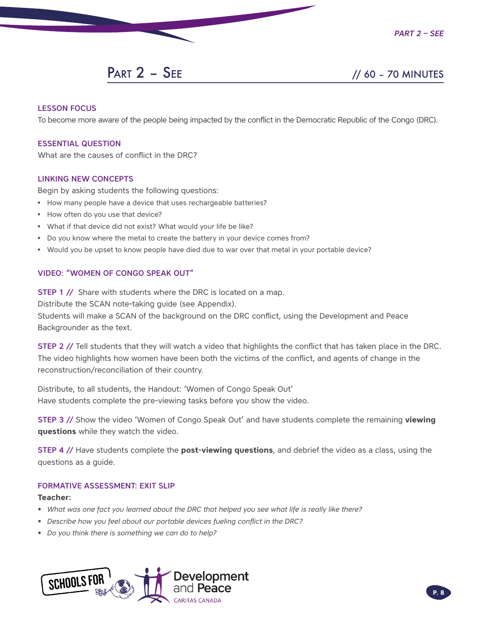## PART 2 – SEE // 60 – 70 MINUTES

### LESSON FOCUS

To become more aware of the people being impacted by the conflict in the Democratic Republic of the Congo (DRC).

### ESSENTIAL QUESTION

What are the causes of conflict in the DRC?

### LINKING NEW CONCEPTS

Begin by asking students the following questions:

- How many people have a device that uses rechargeable batteries?
- How often do you use that device?
- What if that device did not exist? What would your life be like?
- Do you know where the metal to create the battery in your device comes from?
- Would you be upset to know people have died due to war over that metal in your portable device?

### VIDEO: "WOMEN OF CONGO SPEAK OUT"

**STEP 1 //** Share with students where the DRC is located on a map.

Distribute the SCAN note-taking guide (see Appendix).

Students will make a SCAN of the background on the DRC conflict, using the Development and Peace Backgrounder as the text.

STEP 2 // Tell students that they will watch a video that highlights the conflict that has taken place in the DRC. The video highlights how women have been both the victims of the conflict, and agents of change in the reconstruction/reconciliation of their country.

Distribute, to all students, the Handout: 'Women of Congo Speak Out' Have students complete the pre-viewing tasks before you show the video.

STEP 3 // Show the video 'Women of Congo Speak Out' and have students complete the remaining **viewing questions** while they watch the video.

STEP 4 // Have students complete the **post-viewing questions**, and debrief the video as a class, using the questions as a guide.

### FORMATIVE ASSESSMENT: EXIT SLIP

### **Teacher:**

- *• What was one fact you learned about the DRC that helped you see what life is really like there?*
- *• Describe how you feel about our portable devices fueling conflict in the DRC?*
- *• Do you think there is something we can do to help?*

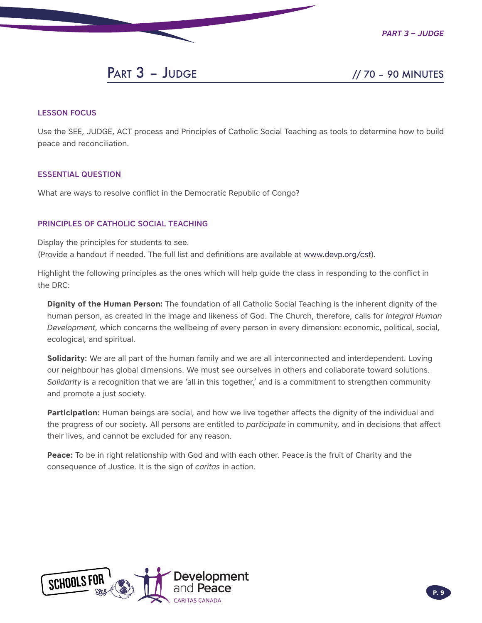

*Part 3 – Judge*

## PART 3 - JUDGE // 70 - 90 MINUTES

### LESSON FOCUS

Use the SEE, JUDGE, ACT process and Principles of Catholic Social Teaching as tools to determine how to build peace and reconciliation.

### ESSENTIAL QUESTION

What are ways to resolve conflict in the Democratic Republic of Congo?

### PRINCIPLES OF CATHOLIC SOCIAL TEACHING

Display the principles for students to see. (Provide a handout if needed. The full list and definitions are available at [www.devp.org/cst\)](http://www.devp.org/cst).

Highlight the following principles as the ones which will help guide the class in responding to the conflict in the DRC:

**Dignity of the Human Person:** The foundation of all Catholic Social Teaching is the inherent dignity of the human person, as created in the image and likeness of God. The Church, therefore, calls for *Integral Human Development*, which concerns the wellbeing of every person in every dimension: economic, political, social, ecological, and spiritual.

**Solidarity:** We are all part of the human family and we are all interconnected and interdependent. Loving our neighbour has global dimensions. We must see ourselves in others and collaborate toward solutions. *Solidarity* is a recognition that we are 'all in this together,' and is a commitment to strengthen community and promote a just society.

**Participation:** Human beings are social, and how we live together affects the dignity of the individual and the progress of our society. All persons are entitled to *participate* in community, and in decisions that affect their lives, and cannot be excluded for any reason.

**Peace:** To be in right relationship with God and with each other. Peace is the fruit of Charity and the consequence of Justice. It is the sign of *caritas* in action.

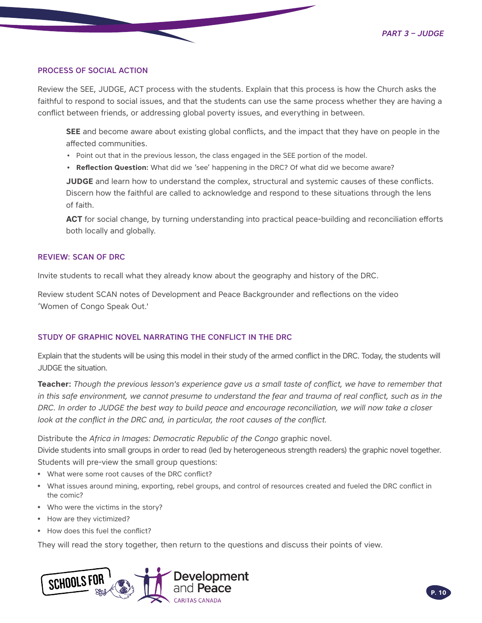### PROCESS OF SOCIAL ACTION

Review the SEE, JUDGE, ACT process with the students. Explain that this process is how the Church asks the faithful to respond to social issues, and that the students can use the same process whether they are having a conflict between friends, or addressing global poverty issues, and everything in between.

**SEE** and become aware about existing global conflicts, and the impact that they have on people in the affected communities.

- Point out that in the previous lesson, the class engaged in the SEE portion of the model.
- **• Reflection Question:** What did we 'see' happening in the DRC? Of what did we become aware?

**JUDGE** and learn how to understand the complex, structural and systemic causes of these conflicts. Discern how the faithful are called to acknowledge and respond to these situations through the lens of faith.

**ACT** for social change, by turning understanding into practical peace-building and reconciliation efforts both locally and globally.

### REVIEW: SCAN OF DRC

Invite students to recall what they already know about the geography and history of the DRC.

Review student SCAN notes of Development and Peace Backgrounder and reflections on the video 'Women of Congo Speak Out.'

### STUDY OF GRAPHIC NOVEL NARRATING THE CONFLICT IN THE DRC

Explain that the students will be using this model in their study of the armed conflict in the DRC. Today, the students will JUDGE the situation.

**Teacher:** *Though the previous lesson's experience gave us a small taste of conflict, we have to remember that in this safe environment, we cannot presume to understand the fear and trauma of real conflict, such as in the DRC. In order to JUDGE the best way to build peace and encourage reconciliation, we will now take a closer look at the conflict in the DRC and, in particular, the root causes of the conflict.* 

Distribute the *Africa in Images: Democratic Republic of the Congo* graphic novel. Divide students into small groups in order to read (led by heterogeneous strength readers) the graphic novel together. Students will pre-view the small group questions:

- What were some root causes of the DRC conflict?
- What issues around mining, exporting, rebel groups, and control of resources created and fueled the DRC conflict in the comic?
- Who were the victims in the story?
- How are they victimized?
- How does this fuel the conflict?

They will read the story together, then return to the questions and discuss their points of view.

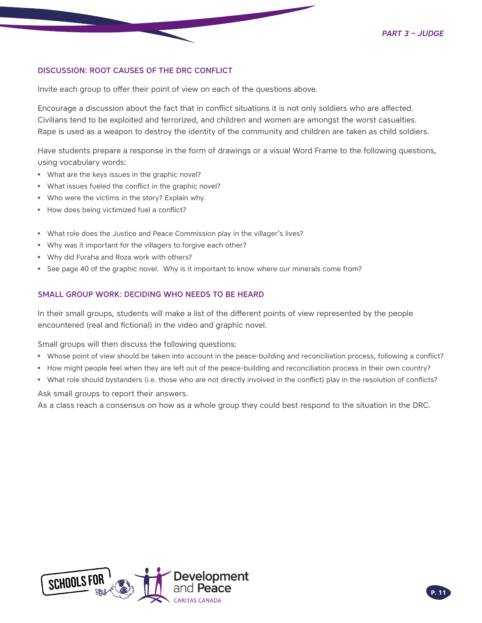### DISCUSSION: ROOT CAUSES OF THE DRC CONFLICT

Invite each group to offer their point of view on each of the questions above.

Encourage a discussion about the fact that in conflict situations it is not only soldiers who are affected. Civilians tend to be exploited and terrorized, and children and women are amongst the worst casualties. Rape is used as a weapon to destroy the identity of the community and children are taken as child soldiers.

Have students prepare a response in the form of drawings or a visual Word Frame to the following questions, using vocabulary words:

- What are the keys issues in the graphic novel?
- What issues fueled the conflict in the graphic novel?
- Who were the victims in the story? Explain why.
- How does being victimized fuel a conflict?
- What role does the Justice and Peace Commission play in the villager's lives?
- Why was it important for the villagers to forgive each other?
- Why did Furaha and Roza work with others?
- See page 40 of the graphic novel. Why is it important to know where our minerals come from?

### SMALL GROUP WORK: DECIDING WHO NEEDS TO BE HEARD

In their small groups, students will make a list of the different points of view represented by the people encountered (real and fictional) in the video and graphic novel.

Small groups will then discuss the following questions:

- Whose point of view should be taken into account in the peace-building and reconciliation process, following a conflict?
- How might people feel when they are left out of the peace-building and reconciliation process in their own country?
- What role should bystanders (i.e. those who are not directly involved in the conflict) play in the resolution of conflicts?

Ask small groups to report their answers.

As a class reach a consensus on how as a whole group they could best respond to the situation in the DRC.

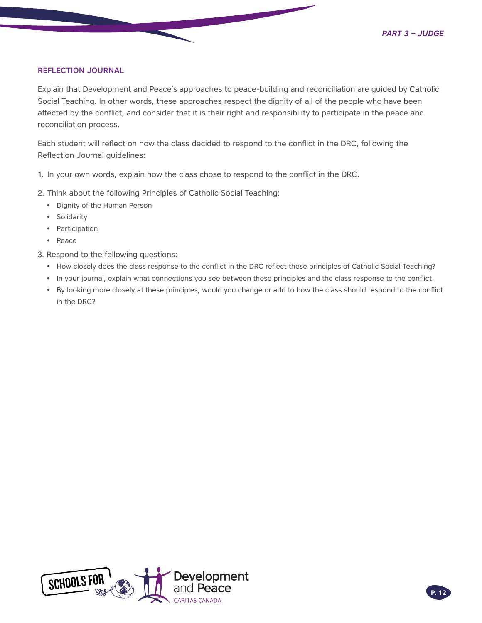### REFLECTION JOURNAL

Explain that Development and Peace's approaches to peace-building and reconciliation are guided by Catholic Social Teaching. In other words, these approaches respect the dignity of all of the people who have been affected by the conflict, and consider that it is their right and responsibility to participate in the peace and reconciliation process.

Each student will reflect on how the class decided to respond to the conflict in the DRC, following the Reflection Journal guidelines:

- 1. In your own words, explain how the class chose to respond to the conflict in the DRC.
- 2. Think about the following Principles of Catholic Social Teaching:
	- Dignity of the Human Person
	- Solidarity
	- Participation
	- Peace
- 3. Respond to the following questions:
	- How closely does the class response to the conflict in the DRC reflect these principles of Catholic Social Teaching?
	- In your journal, explain what connections you see between these principles and the class response to the conflict.
	- By looking more closely at these principles, would you change or add to how the class should respond to the conflict in the DRC?

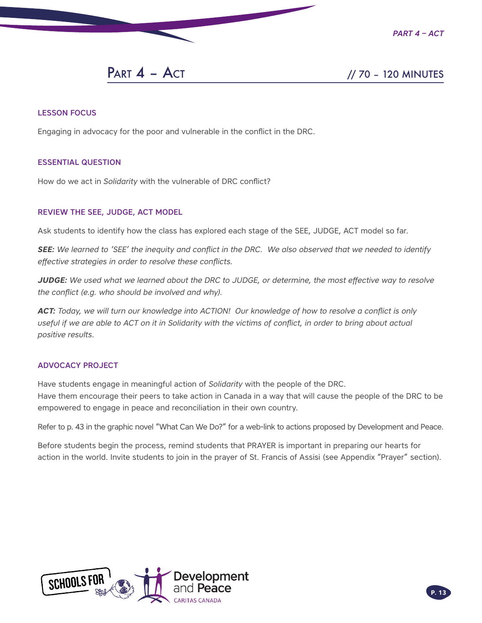

*Part 4 – Act*

**PART 4 – ACT** // 70 – 120 MINUTES

### LESSON FOCUS

Engaging in advocacy for the poor and vulnerable in the conflict in the DRC.

### ESSENTIAL QUESTION

How do we act in *Solidarity* with the vulnerable of DRC conflict?

### REVIEW THE SEE, JUDGE, ACT MODEL

Ask students to identify how the class has explored each stage of the SEE, JUDGE, ACT model so far.

*SEE: We learned to 'SEE' the inequity and conflict in the DRC. We also observed that we needed to identify effective strategies in order to resolve these conflicts.*

*JUDGE: We used what we learned about the DRC to JUDGE, or determine, the most effective way to resolve the conflict (e.g. who should be involved and why).*

*ACT: Today, we will turn our knowledge into ACTION! Our knowledge of how to resolve a conflict is only*  useful if we are able to ACT on it in Solidarity with the victims of conflict, in order to bring about actual *positive results.*

### ADVOCACY PROJECT

Have students engage in meaningful action of *Solidarity* with the people of the DRC. Have them encourage their peers to take action in Canada in a way that will cause the people of the DRC to be empowered to engage in peace and reconciliation in their own country.

Refer to p. 43 in the graphic novel "What Can We Do?" for a web-link to actions proposed by Development and Peace.

Before students begin the process, remind students that PRAYER is important in preparing our hearts for action in the world. Invite students to join in the prayer of St. Francis of Assisi (see Appendix "Prayer" section).

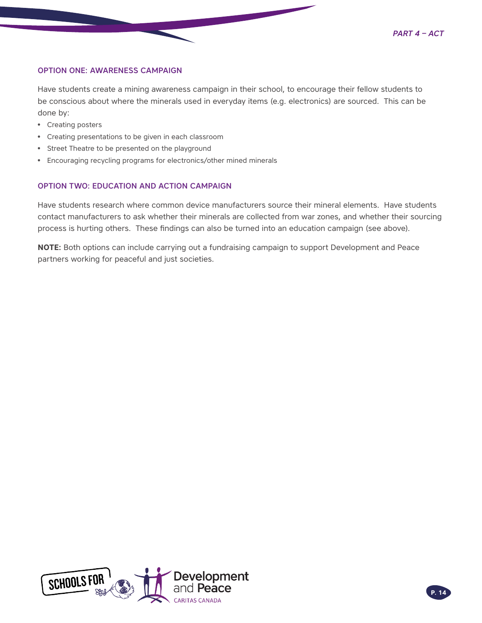

### OPTION ONE: AWARENESS CAMPAIGN

Have students create a mining awareness campaign in their school, to encourage their fellow students to be conscious about where the minerals used in everyday items (e.g. electronics) are sourced. This can be done by:

- Creating posters
- Creating presentations to be given in each classroom
- Street Theatre to be presented on the playground
- Encouraging recycling programs for electronics/other mined minerals

### OPTION TWO: EDUCATION AND ACTION CAMPAIGN

Have students research where common device manufacturers source their mineral elements. Have students contact manufacturers to ask whether their minerals are collected from war zones, and whether their sourcing process is hurting others. These findings can also be turned into an education campaign (see above).

**NOTE:** Both options can include carrying out a fundraising campaign to support Development and Peace partners working for peaceful and just societies.

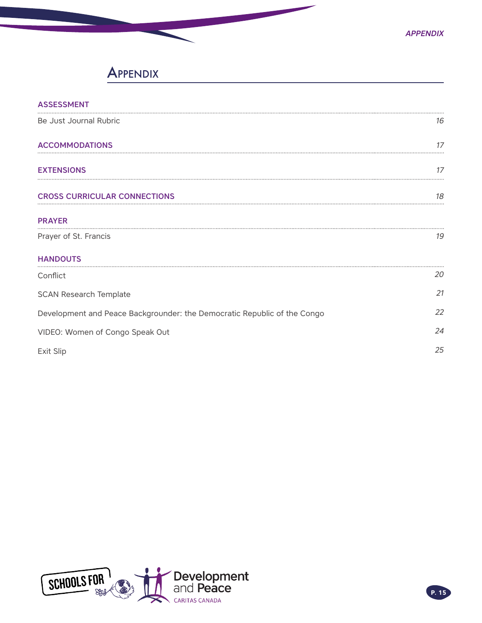## **APPENDIX**

| <b>ASSESSMENT</b>                                                        |    |
|--------------------------------------------------------------------------|----|
| Be Just Journal Rubric                                                   | 16 |
| <b>ACCOMMODATIONS</b>                                                    | 17 |
| <b>EXTENSIONS</b>                                                        | 17 |
| <b>CROSS CURRICULAR CONNECTIONS</b>                                      | 18 |
| <b>PRAYER</b>                                                            |    |
| Prayer of St. Francis                                                    | 19 |
| <b>HANDOUTS</b>                                                          |    |
| Conflict                                                                 | 20 |
| <b>SCAN Research Template</b>                                            | 21 |
| Development and Peace Backgrounder: the Democratic Republic of the Congo | 22 |
| VIDEO: Women of Congo Speak Out                                          |    |
| Exit Slip                                                                | 25 |

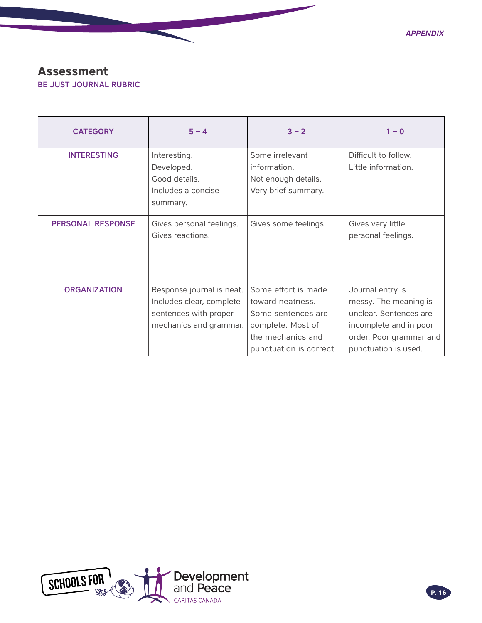### <span id="page-15-0"></span>**Assessment** BE JUST JOURNAL RUBRIC

| <b>CATEGORY</b>          | $5 - 4$                                                           | $3 - 2$                                                                       | $1 - 0$                                          |
|--------------------------|-------------------------------------------------------------------|-------------------------------------------------------------------------------|--------------------------------------------------|
| <b>INTERESTING</b>       | Interesting.<br>Developed.<br>Good details.<br>Includes a concise | Some irrelevant<br>information.<br>Not enough details.<br>Very brief summary. | Difficult to follow.<br>Little information.      |
|                          | summary.                                                          |                                                                               |                                                  |
| <b>PERSONAL RESPONSE</b> | Gives personal feelings.<br>Gives reactions.                      | Gives some feelings.                                                          | Gives very little<br>personal feelings.          |
| <b>ORGANIZATION</b>      | Response journal is neat.<br>Includes clear, complete             | Some effort is made<br>toward neatness.                                       | Journal entry is<br>messy. The meaning is        |
|                          | sentences with proper<br>mechanics and grammar.                   | Some sentences are<br>complete. Most of                                       | unclear. Sentences are<br>incomplete and in poor |
|                          |                                                                   | the mechanics and<br>punctuation is correct.                                  | order. Poor grammar and<br>punctuation is used.  |

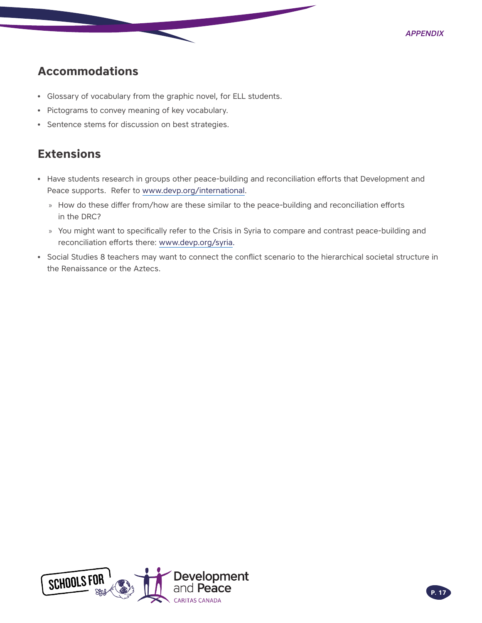## <span id="page-16-0"></span>**Accommodations**

- Glossary of vocabulary from the graphic novel, for ELL students.
- Pictograms to convey meaning of key vocabulary.
- Sentence stems for discussion on best strategies.

## **Extensions**

- Have students research in groups other peace-building and reconciliation efforts that Development and Peace supports. Refer to [www.devp.org/international.](http://www.devp.org/international)
	- » How do these differ from/how are these similar to the peace-building and reconciliation efforts in the DRC?
	- » You might want to specifically refer to the Crisis in Syria to compare and contrast peace-building and reconciliation efforts there: [www.devp.org/syria](http://www.devp.org/syria).
- Social Studies 8 teachers may want to connect the conflict scenario to the hierarchical societal structure in the Renaissance or the Aztecs.

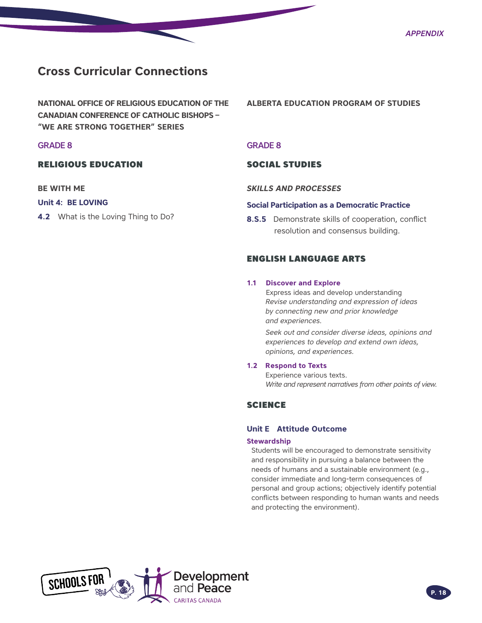## <span id="page-17-0"></span>**Cross Curricular Connections**

**NATIONAL OFFICE OF RELIGIOUS EDUCATION OF THE CANADIAN CONFERENCE OF CATHOLIC BISHOPS – "WE ARE STRONG TOGETHER" SERIES**

### GRADE 8

### RELIGIOUS EDUCATION

### **BE WITH ME**

### **Unit 4: BE LOVING**

**4.2** What is the Loving Thing to Do?

**ALBERTA EDUCATION PROGRAM OF STUDIES**

#### GRADE 8

### SOCIAL STUDIES

#### *SKILLS AND PROCESSES*

#### **Social Participation as a Democratic Practice**

**8.S.5** Demonstrate skills of cooperation, conflict resolution and consensus building.

### ENGLISH LANGUAGE ARTS

#### **1.1 Discover and Explore**

 Express ideas and develop understanding *Revise understanding and expression of ideas by connecting new and prior knowledge and experiences.*

*Seek out and consider diverse ideas, opinions and experiences to develop and extend own ideas, opinions, and experiences.*

#### **1.2 Respond to Texts**

 Experience various texts.  *Write and represent narratives from other points of view.*

### SCIENCE

## **Unit E Attitude Outcome**

### **Stewardship**

Students will be encouraged to demonstrate sensitivity and responsibility in pursuing a balance between the needs of humans and a sustainable environment (e.g., consider immediate and long-term consequences of personal and group actions; objectively identify potential conflicts between responding to human wants and needs and protecting the environment).

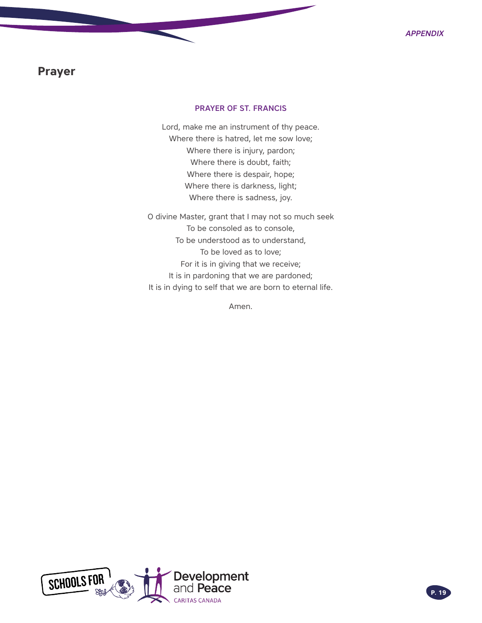### <span id="page-18-0"></span>**Prayer**

### PRAYER OF ST. FRANCIS

Lord, make me an instrument of thy peace. Where there is hatred, let me sow love; Where there is injury, pardon; Where there is doubt, faith; Where there is despair, hope; Where there is darkness, light; Where there is sadness, joy.

O divine Master, grant that I may not so much seek To be consoled as to console, To be understood as to understand, To be loved as to love; For it is in giving that we receive; It is in pardoning that we are pardoned; It is in dying to self that we are born to eternal life.

Amen.

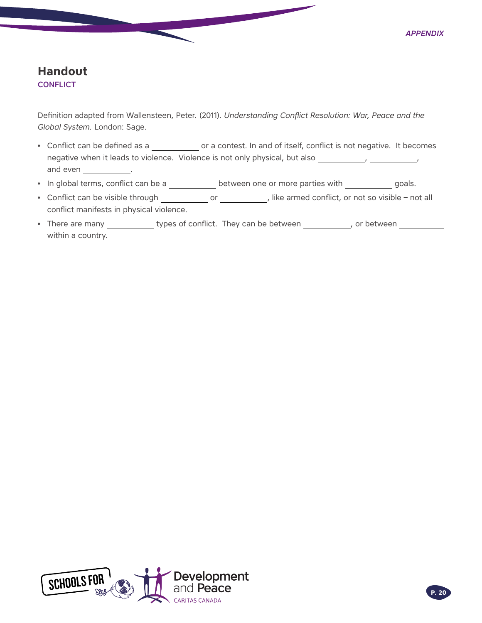### <span id="page-19-0"></span>**Handout CONFLICT**

Definition adapted from Wallensteen, Peter. (2011). *Understanding Conflict Resolution: War, Peace and the Global System.* London: Sage.

- Conflict can be defined as a \_\_\_\_\_\_\_\_\_\_\_\_ or a contest. In and of itself, conflict is not negative. It becomes negative when it leads to violence. Violence is not only physical, but also **, , , , , , , , , , , , , , , , ,** , and even \_\_\_\_\_\_\_\_\_\_\_\_.
- In global terms, conflict can be a **between one or more parties with headle** goals.
- Conflict can be visible through \_\_\_\_\_\_\_\_\_\_\_\_ or \_\_\_\_\_\_\_\_\_\_\_, like armed conflict, or not so visible not all conflict manifests in physical violence.
- There are many \_\_\_\_\_\_\_\_\_\_\_\_ types of conflict. They can be between \_\_\_\_\_\_\_\_\_\_, or between \_\_\_\_\_\_\_\_\_\_\_\_\_\_\_\_\_\_ within a country.

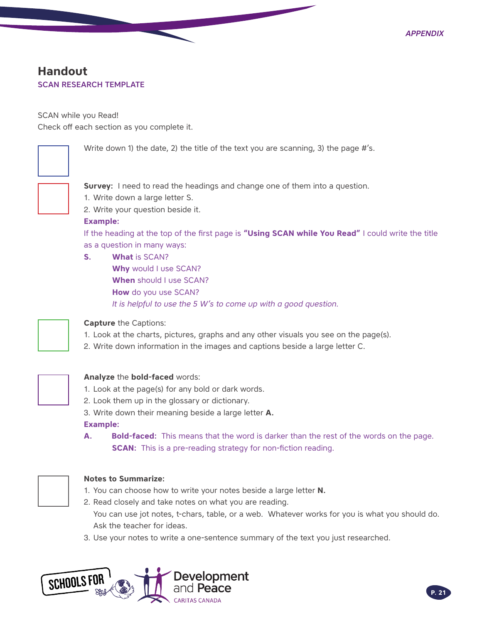## <span id="page-20-0"></span>**Handout** SCAN RESEARCH TEMPLATE

SCAN while you Read!

Check off each section as you complete it.



Write down 1) the date, 2) the title of the text you are scanning, 3) the page #'s.



**Survey:** I need to read the headings and change one of them into a question.

- 1. Write down a large letter S.
- 2. Write your question beside it.

### **Example:**

If the heading at the top of the first page is **"Using SCAN while You Read"** I could write the title as a question in many ways:

- **S. What** is SCAN?
	- **Why** would I use SCAN? **When** should I use SCAN? **How** do you use SCAN? *It is helpful to use the 5 W's to come up with a good question.*



### **Capture** the Captions:

- 1. Look at the charts, pictures, graphs and any other visuals you see on the page(s).
- 2. Write down information in the images and captions beside a large letter C.



### **Analyze** the **bold-faced** words:

- 1. Look at the page(s) for any bold or dark words.
- 2. Look them up in the glossary or dictionary.
- 3. Write down their meaning beside a large letter **A.**

### **Example:**

**A.  Bold-faced:** This means that the word is darker than the rest of the words on the page. **SCAN:** This is a pre-reading strategy for non-fiction reading.



### **Notes to Summarize:**

- 1. You can choose how to write your notes beside a large letter **N.**
- 2. Read closely and take notes on what you are reading. You can use jot notes, t-chars, table, or a web. Whatever works for you is what you should do. Ask the teacher for ideas.
- 3. Use your notes to write a one-sentence summary of the text you just researched.

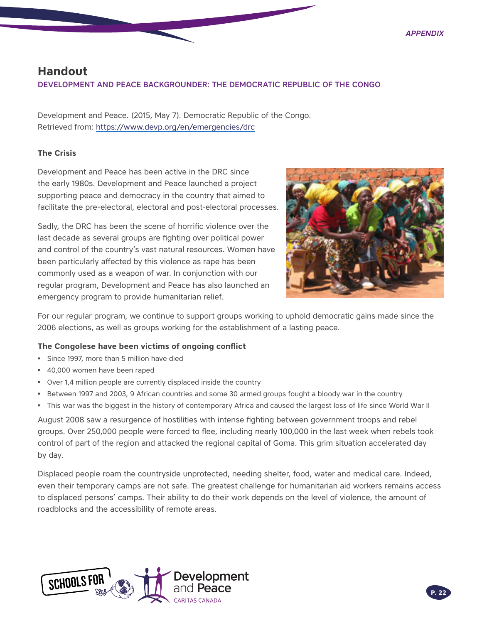### <span id="page-21-0"></span>**Handout**

DEVELOPMENT AND PEACE BACKGROUNDER: THE DEMOCRATIC REPUBLIC OF THE CONGO

Development and Peace. (2015, May 7). Democratic Republic of the Congo. Retrieved from:<https://www.devp.org/en/emergencies/drc>

### **The Crisis**

Development and Peace has been active in the DRC since the early 1980s. Development and Peace launched a project supporting peace and democracy in the country that aimed to facilitate the pre-electoral, electoral and post-electoral processes.

Sadly, the DRC has been the scene of horrific violence over the last decade as several groups are fighting over political power and control of the country's vast natural resources. Women have been particularly affected by this violence as rape has been commonly used as a weapon of war. In conjunction with our regular program, Development and Peace has also launched an emergency program to provide humanitarian relief.



For our regular program, we continue to support groups working to uphold democratic gains made since the 2006 elections, as well as groups working for the establishment of a lasting peace.

### **The Congolese have been victims of ongoing conflict**

- Since 1997, more than 5 million have died
- 40,000 women have been raped
- Over 1,4 million people are currently displaced inside the country
- Between 1997 and 2003, 9 African countries and some 30 armed groups fought a bloody war in the country
- This war was the biggest in the history of contemporary Africa and caused the largest loss of life since World War II

August 2008 saw a resurgence of hostilities with intense fighting between government troops and rebel groups. Over 250,000 people were forced to flee, including nearly 100,000 in the last week when rebels took control of part of the region and attacked the regional capital of Goma. This grim situation accelerated day by day.

Displaced people roam the countryside unprotected, needing shelter, food, water and medical care. Indeed, even their temporary camps are not safe. The greatest challenge for humanitarian aid workers remains access to displaced persons' camps. Their ability to do their work depends on the level of violence, the amount of roadblocks and the accessibility of remote areas.

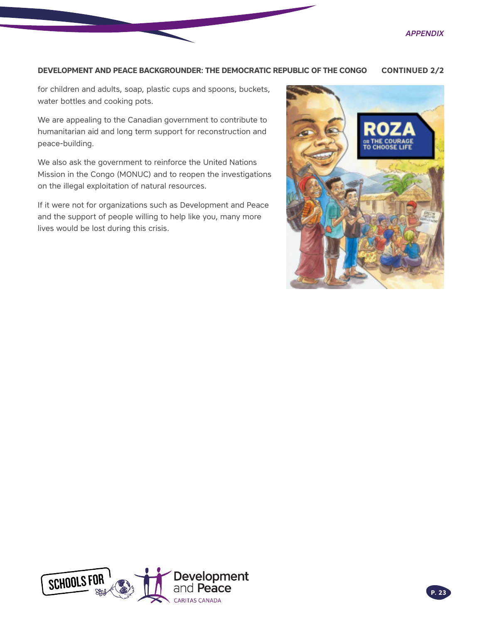### **DEVELOPMENT AND PEACE BACKGROUNDER: THE DEMOCRATIC REPUBLIC OF THE CONGO CONTINUED 2/2**

for children and adults, soap, plastic cups and spoons, buckets, water bottles and cooking pots.

We are appealing to the Canadian government to contribute to humanitarian aid and long term support for reconstruction and peace-building.

We also ask the government to reinforce the United Nations Mission in the Congo (MONUC) and to reopen the investigations on the illegal exploitation of natural resources.

If it were not for organizations such as Development and Peace and the support of people willing to help like you, many more lives would be lost during this crisis.



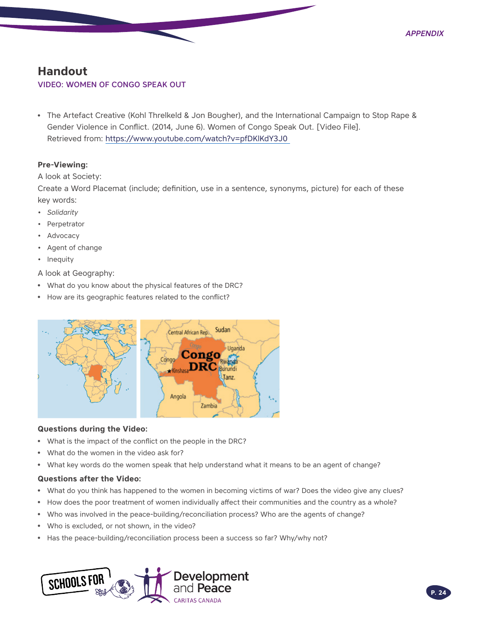### <span id="page-23-0"></span>**Handout**

### VIDEO: WOMEN OF CONGO SPEAK OUT

• The Artefact Creative (Kohl Threlkeld & Jon Bougher), and the International Campaign to Stop Rape & Gender Violence in Conflict. (2014, June 6). Women of Congo Speak Out. [Video File]. Retrieved from:<https://www.youtube.com/watch?v=pfDKlKdY3J0>

### **Pre-Viewing:**

A look at Society:

Create a Word Placemat (include; definition, use in a sentence, synonyms, picture) for each of these key words:

- *• Solidarity*
- Perpetrator
- Advocacy
- Agent of change
- Inequity

A look at Geography:

- What do you know about the physical features of the DRC?
- How are its geographic features related to the conflict?



### **Questions during the Video:**

- What is the impact of the conflict on the people in the DRC?
- What do the women in the video ask for?
- What key words do the women speak that help understand what it means to be an agent of change?

### **Questions after the Video:**

- What do you think has happened to the women in becoming victims of war? Does the video give any clues?
- How does the poor treatment of women individually affect their communities and the country as a whole?
- Who was involved in the peace-building/reconciliation process? Who are the agents of change?
- Who is excluded, or not shown, in the video?
- Has the peace-building/reconciliation process been a success so far? Why/why not?